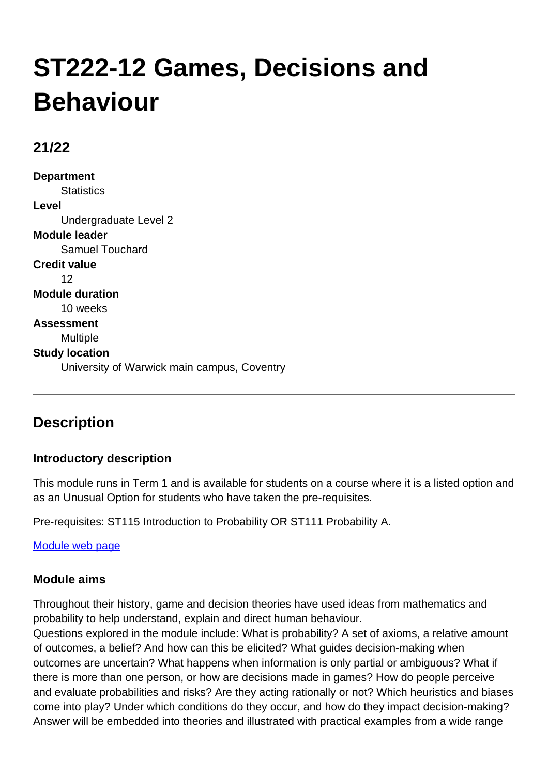# **ST222-12 Games, Decisions and Behaviour**

## **21/22**

**Department Statistics Level** Undergraduate Level 2 **Module leader** Samuel Touchard **Credit value** 12 **Module duration** 10 weeks **Assessment** Multiple **Study location** University of Warwick main campus, Coventry

## **Description**

## **Introductory description**

This module runs in Term 1 and is available for students on a course where it is a listed option and as an Unusual Option for students who have taken the pre-requisites.

Pre-requisites: ST115 Introduction to Probability OR ST111 Probability A.

[Module web page](http://go.warwick.ac.uk/ST222)

## **Module aims**

Throughout their history, game and decision theories have used ideas from mathematics and probability to help understand, explain and direct human behaviour.

Questions explored in the module include: What is probability? A set of axioms, a relative amount of outcomes, a belief? And how can this be elicited? What guides decision-making when outcomes are uncertain? What happens when information is only partial or ambiguous? What if there is more than one person, or how are decisions made in games? How do people perceive and evaluate probabilities and risks? Are they acting rationally or not? Which heuristics and biases come into play? Under which conditions do they occur, and how do they impact decision-making? Answer will be embedded into theories and illustrated with practical examples from a wide range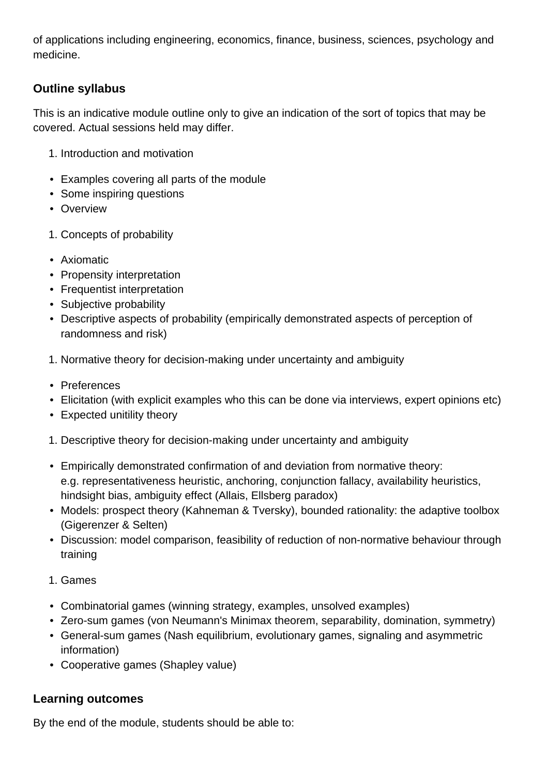of applications including engineering, economics, finance, business, sciences, psychology and medicine.

## **Outline syllabus**

This is an indicative module outline only to give an indication of the sort of topics that may be covered. Actual sessions held may differ.

- 1. Introduction and motivation
- Examples covering all parts of the module
- Some inspiring questions
- Overview
- 1. Concepts of probability
- Axiomatic
- Propensity interpretation
- Frequentist interpretation
- Subjective probability
- Descriptive aspects of probability (empirically demonstrated aspects of perception of randomness and risk)
- 1. Normative theory for decision-making under uncertainty and ambiguity
- Preferences
- Elicitation (with explicit examples who this can be done via interviews, expert opinions etc)
- Expected unitility theory
- 1. Descriptive theory for decision-making under uncertainty and ambiguity
- Empirically demonstrated confirmation of and deviation from normative theory: e.g. representativeness heuristic, anchoring, conjunction fallacy, availability heuristics, hindsight bias, ambiguity effect (Allais, Ellsberg paradox)
- Models: prospect theory (Kahneman & Tversky), bounded rationality: the adaptive toolbox (Gigerenzer & Selten)
- Discussion: model comparison, feasibility of reduction of non-normative behaviour through training
- 1. Games
- Combinatorial games (winning strategy, examples, unsolved examples)
- Zero-sum games (von Neumann's Minimax theorem, separability, domination, symmetry)
- General-sum games (Nash equilibrium, evolutionary games, signaling and asymmetric information)
- Cooperative games (Shapley value)

## **Learning outcomes**

By the end of the module, students should be able to: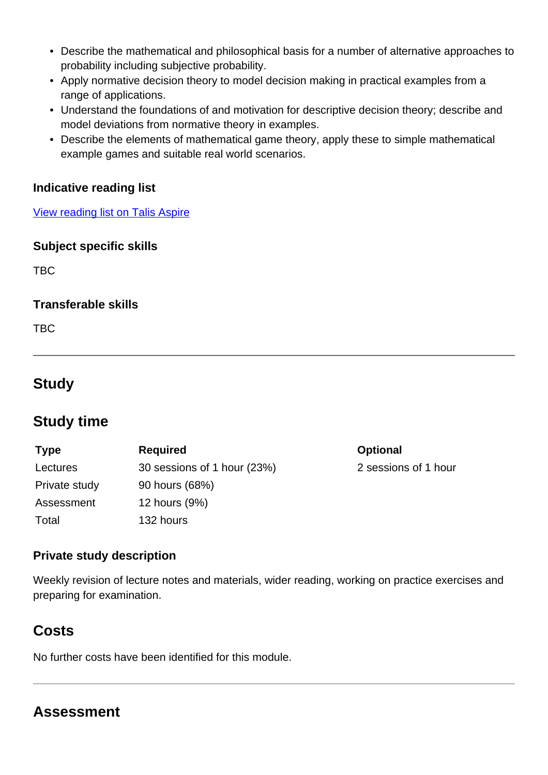- Describe the mathematical and philosophical basis for a number of alternative approaches to probability including subjective probability.
- Apply normative decision theory to model decision making in practical examples from a range of applications.
- Understand the foundations of and motivation for descriptive decision theory; describe and model deviations from normative theory in examples.
- Describe the elements of mathematical game theory, apply these to simple mathematical example games and suitable real world scenarios.

#### **Indicative reading list**

[View reading list on Talis Aspire](http://readinglists.warwick.ac.uk/modules/st222.html)

#### **Subject specific skills**

TBC

#### **Transferable skills**

TBC

## **Study**

## **Study time**

| <b>Type</b>   | <b>Required</b>             | <b>Optional</b>      |
|---------------|-----------------------------|----------------------|
| Lectures      | 30 sessions of 1 hour (23%) | 2 sessions of 1 hour |
| Private study | 90 hours (68%)              |                      |
| Assessment    | 12 hours (9%)               |                      |
| Total         | 132 hours                   |                      |

## **Private study description**

Weekly revision of lecture notes and materials, wider reading, working on practice exercises and preparing for examination.

## **Costs**

No further costs have been identified for this module.

## **Assessment**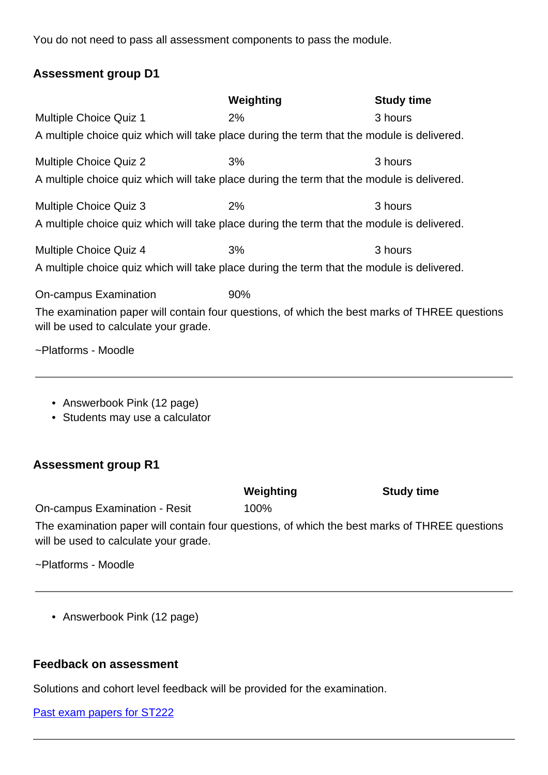You do not need to pass all assessment components to pass the module.

#### **Assessment group D1**

|                                                                                                                                        | Weighting | <b>Study time</b> |
|----------------------------------------------------------------------------------------------------------------------------------------|-----------|-------------------|
| <b>Multiple Choice Quiz 1</b>                                                                                                          | 2%        | 3 hours           |
| A multiple choice quiz which will take place during the term that the module is delivered.                                             |           |                   |
| <b>Multiple Choice Quiz 2</b>                                                                                                          | 3%        | 3 hours           |
| A multiple choice quiz which will take place during the term that the module is delivered.                                             |           |                   |
| <b>Multiple Choice Quiz 3</b>                                                                                                          | 2%        | 3 hours           |
| A multiple choice quiz which will take place during the term that the module is delivered.                                             |           |                   |
| Multiple Choice Quiz 4                                                                                                                 | 3%        | 3 hours           |
| A multiple choice quiz which will take place during the term that the module is delivered.                                             |           |                   |
| On-campus Examination                                                                                                                  | 90%       |                   |
| The examination paper will contain four questions, of which the best marks of THREE questions<br>will be used to calculate your grade. |           |                   |
| ~Platforms - Moodle                                                                                                                    |           |                   |

- Answerbook Pink (12 page)
- Students may use a calculator

#### **Assessment group R1**

|                               | Weighting | <b>Study time</b> |
|-------------------------------|-----------|-------------------|
| On-campus Examination - Resit | 100%      |                   |
|                               |           |                   |

The examination paper will contain four questions, of which the best marks of THREE questions will be used to calculate your grade.

~Platforms - Moodle

• Answerbook Pink (12 page)

## **Feedback on assessment**

Solutions and cohort level feedback will be provided for the examination.

| Past exam papers for ST222 |  |  |  |
|----------------------------|--|--|--|
|                            |  |  |  |